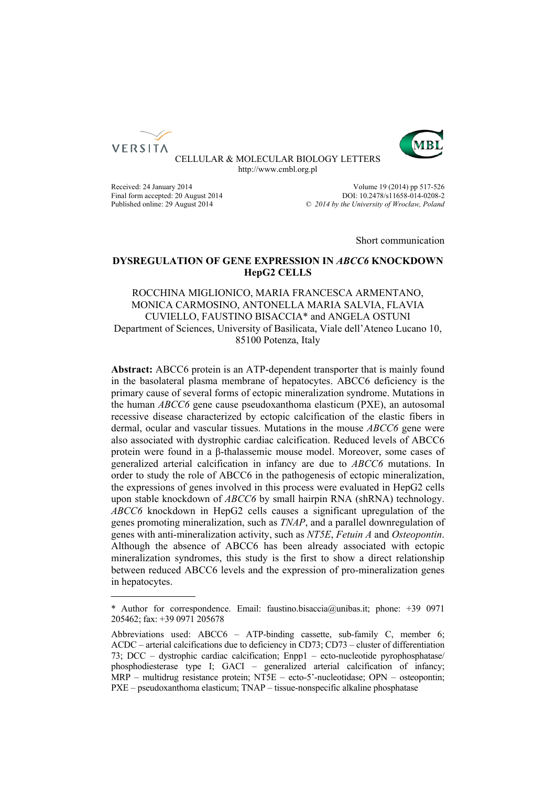



CELLULAR & MOLECULAR BIOLOGY LETTERS http://www.cmbl.org.pl

Received: 24 January 2014 Volume 19 (2014) pp 517-526 Final form accepted: 20 August 2014<br>
Published online: 29 August 2014<br>  $\degree$  2014 by the University of Wroclaw, Poland Published online: 29 August 2014 *© 2014 by the University of Wrocław, Poland*

Short communication

# **DYSREGULATION OF GENE EXPRESSION IN** *ABCC6* **KNOCKDOWN HepG2 CELLS**

# ROCCHINA MIGLIONICO, MARIA FRANCESCA ARMENTANO, MONICA CARMOSINO, ANTONELLA MARIA SALVIA, FLAVIA CUVIELLO, FAUSTINO BISACCIA\* and ANGELA OSTUNI Department of Sciences, University of Basilicata, Viale dell'Ateneo Lucano 10, 85100 Potenza, Italy

**Abstract:** ABCC6 protein is an ATP-dependent transporter that is mainly found in the basolateral plasma membrane of hepatocytes. ABCC6 deficiency is the primary cause of several forms of ectopic mineralization syndrome. Mutations in the human *ABCC6* gene cause pseudoxanthoma elasticum (PXE), an autosomal recessive disease characterized by ectopic calcification of the elastic fibers in dermal, ocular and vascular tissues. Mutations in the mouse *ABCC6* gene were also associated with dystrophic cardiac calcification. Reduced levels of ABCC6 protein were found in a β-thalassemic mouse model. Moreover, some cases of generalized arterial calcification in infancy are due to *ABCC6* mutations. In order to study the role of ABCC6 in the pathogenesis of ectopic mineralization, the expressions of genes involved in this process were evaluated in HepG2 cells upon stable knockdown of *ABCC6* by small hairpin RNA (shRNA) technology. *ABCC6* knockdown in HepG2 cells causes a significant upregulation of the genes promoting mineralization, such as *TNAP*, and a parallel downregulation of genes with anti-mineralization activity, such as *NT5E*, *Fetuin A* and *Osteopontin*. Although the absence of ABCC6 has been already associated with ectopic mineralization syndromes, this study is the first to show a direct relationship between reduced ABCC6 levels and the expression of pro-mineralization genes in hepatocytes.

<sup>\*</sup> Author for correspondence. Email: faustino.bisaccia@unibas.it; phone: +39 0971 205462; fax: +39 0971 205678

Abbreviations used: ABCC6 – ATP-binding cassette, sub-family C, member 6; ACDC – arterial calcifications due to deficiency in CD73; CD73 – cluster of differentiation 73; DCC – dystrophic cardiac calcification; Enpp1 – ecto-nucleotide pyrophosphatase/ phosphodiesterase type I; GACI – generalized arterial calcification of infancy; MRP – multidrug resistance protein; NT5E – ecto-5'-nucleotidase; OPN – osteopontin; PXE – pseudoxanthoma elasticum; TNAP – tissue-nonspecific alkaline phosphatase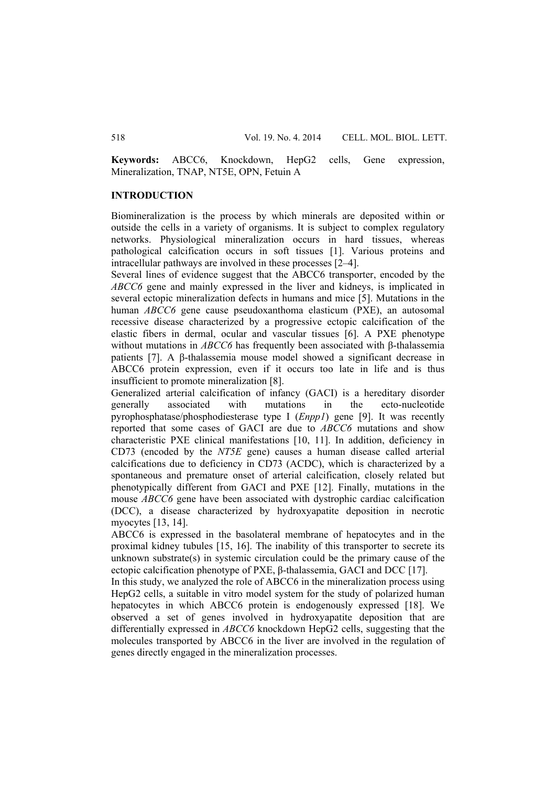**Keywords:** ABCC6, Knockdown, HepG2 cells, Gene expression, Mineralization, TNAP, NT5E, OPN, Fetuin A

### **INTRODUCTION**

Biomineralization is the process by which minerals are deposited within or outside the cells in a variety of organisms. It is subject to complex regulatory networks. Physiological mineralization occurs in hard tissues, whereas pathological calcification occurs in soft tissues [1]. Various proteins and intracellular pathways are involved in these processes [2–4].

Several lines of evidence suggest that the ABCC6 transporter, encoded by the *ABCC6* gene and mainly expressed in the liver and kidneys, is implicated in several ectopic mineralization defects in humans and mice [5]. Mutations in the human *ABCC6* gene cause pseudoxanthoma elasticum (PXE), an autosomal recessive disease characterized by a progressive ectopic calcification of the elastic fibers in dermal, ocular and vascular tissues [6]. A PXE phenotype without mutations in *ABCC6* has frequently been associated with β-thalassemia patients [7]. A β-thalassemia mouse model showed a significant decrease in ABCC6 protein expression, even if it occurs too late in life and is thus insufficient to promote mineralization [8].

Generalized arterial calcification of infancy (GACI) is a hereditary disorder generally associated with mutations in the ecto-nucleotide pyrophosphatase/phosphodiesterase type I (*Enpp1*) gene [9]. It was recently reported that some cases of GACI are due to *ABCC6* mutations and show characteristic PXE clinical manifestations [10, 11]. In addition, deficiency in CD73 (encoded by the *NT5E* gene) causes a human disease called arterial calcifications due to deficiency in CD73 (ACDC), which is characterized by a spontaneous and premature onset of arterial calcification, closely related but phenotypically different from GACI and PXE [12]. Finally, mutations in the mouse *ABCC6* gene have been associated with dystrophic cardiac calcification (DCC), a disease characterized by hydroxyapatite deposition in necrotic myocytes [13, 14].

ABCC6 is expressed in the basolateral membrane of hepatocytes and in the proximal kidney tubules [15, 16]. The inability of this transporter to secrete its unknown substrate(s) in systemic circulation could be the primary cause of the ectopic calcification phenotype of PXE, β-thalassemia, GACI and DCC [17].

In this study, we analyzed the role of ABCC6 in the mineralization process using HepG2 cells, a suitable in vitro model system for the study of polarized human hepatocytes in which ABCC6 protein is endogenously expressed [18]. We observed a set of genes involved in hydroxyapatite deposition that are differentially expressed in *ABCC6* knockdown HepG2 cells, suggesting that the molecules transported by ABCC6 in the liver are involved in the regulation of genes directly engaged in the mineralization processes.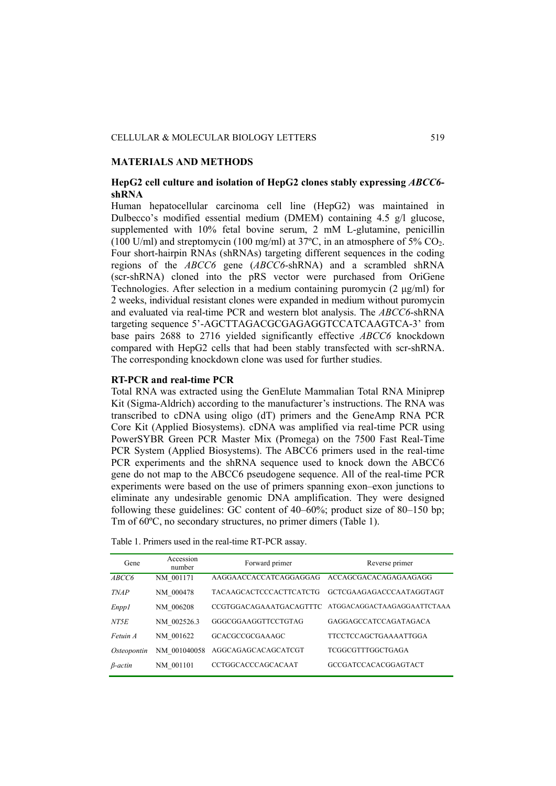#### **MATERIALS AND METHODS**

# **HepG2 cell culture and isolation of HepG2 clones stably expressing** *ABCC6* **shRNA**

Human hepatocellular carcinoma cell line (HepG2) was maintained in Dulbecco's modified essential medium (DMEM) containing  $4.5 \text{ g/l}$  glucose, supplemented with 10% fetal bovine serum, 2 mM L-glutamine, penicillin (100 U/ml) and streptomycin (100 mg/ml) at  $37^{\circ}$ C, in an atmosphere of  $5\%$  CO<sub>2</sub>. Four short-hairpin RNAs (shRNAs) targeting different sequences in the coding regions of the *ABCC6* gene (*ABCC6*-shRNA) and a scrambled shRNA (scr-shRNA) cloned into the pRS vector were purchased from OriGene Technologies. After selection in a medium containing puromycin (2 μg/ml) for 2 weeks, individual resistant clones were expanded in medium without puromycin and evaluated via real-time PCR and western blot analysis. The *ABCC6*-shRNA targeting sequence 5'-AGCTTAGACGCGAGAGGTCCATCAAGTCA-3' from base pairs 2688 to 2716 yielded significantly effective *ABCC6* knockdown compared with HepG2 cells that had been stably transfected with scr-shRNA. The corresponding knockdown clone was used for further studies.

### **RT-PCR and real-time PCR**

Total RNA was extracted using the GenElute Mammalian Total RNA Miniprep Kit (Sigma-Aldrich) according to the manufacturer's instructions. The RNA was transcribed to cDNA using oligo (dT) primers and the GeneAmp RNA PCR Core Kit (Applied Biosystems). cDNA was amplified via real-time PCR using PowerSYBR Green PCR Master Mix (Promega) on the 7500 Fast Real-Time PCR System (Applied Biosystems). The ABCC6 primers used in the real-time PCR experiments and the shRNA sequence used to knock down the ABCC6 gene do not map to the ABCC6 pseudogene sequence. All of the real-time PCR experiments were based on the use of primers spanning exon–exon junctions to eliminate any undesirable genomic DNA amplification. They were designed following these guidelines: GC content of 40–60%; product size of 80–150 bp; Tm of 60ºC, no secondary structures, no primer dimers (Table 1).

| Gene         | Accession<br>number | Forward primer                 | Reverse primer               |
|--------------|---------------------|--------------------------------|------------------------------|
| ABCC6        | NM 001171           | AAGGAACCACCATCAGGAGGAG         | ACCAGCGACACAGAGAAGAGG        |
| <b>TNAP</b>  | NM 000478           | <b>TACAAGCACTCCCACTTCATCTG</b> | GCTCGAAGAGACCCAATAGGTAGT     |
| <i>Enppl</i> | NM 006208           | CCGTGGACAGAAATGACAGTTTC        | ATGGACAGGACTAAGAGGAATTCTAAA  |
| NT5E         | NM 002526.3         | GGGCGGAAGGTTCCTGTAG            | GAGGAGCCATCCAGATAGACA        |
| Fetuin A     | NM 001622           | GCACGCCGCGAAAGC                | <b>TTCCTCCAGCTGAAAATTGGA</b> |
| Osteopontin  | NM 001040058        | AGGCAGAGCACAGCATCGT            | <b>TCGGCGTTTGGCTGAGA</b>     |
| $β-actin$    | NM 001101           | <b>CCTGGCACCCAGCACAAT</b>      | GCCGATCCACACGGAGTACT         |

Table 1. Primers used in the real-time RT-PCR assay.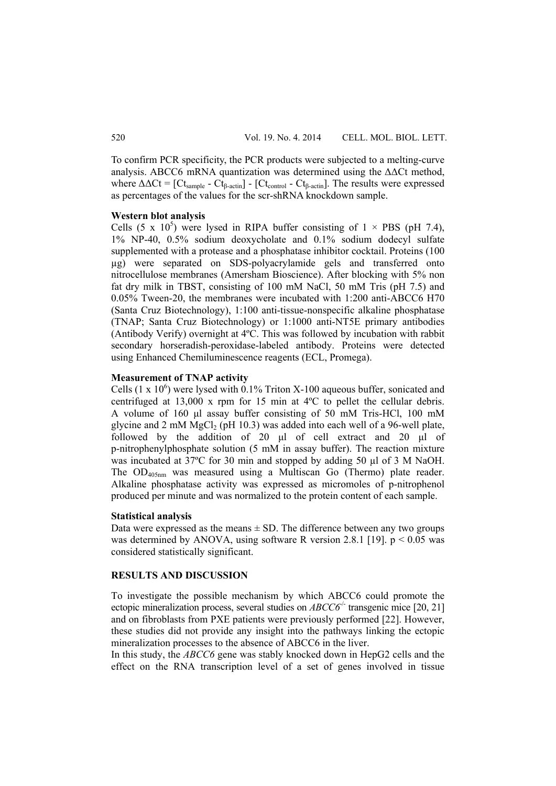To confirm PCR specificity, the PCR products were subjected to a melting-curve analysis. ABCC6 mRNA quantization was determined using the  $\Delta\Delta$ Ct method, where  $\Delta \Delta \text{C}t = [\text{C}t_{sample} - \text{C}t_{\text{B-actin}}]$  -  $[\text{C}t_{control} - \text{C}t_{\text{B-actin}}]$ . The results were expressed as percentages of the values for the scr-shRNA knockdown sample.

#### **Western blot analysis**

Cells (5 x 10<sup>5</sup>) were lysed in RIPA buffer consisting of  $1 \times PBS$  (pH 7.4), 1% NP-40, 0.5% sodium deoxycholate and 0.1% sodium dodecyl sulfate supplemented with a protease and a phosphatase inhibitor cocktail. Proteins (100 µg) were separated on SDS-polyacrylamide gels and transferred onto nitrocellulose membranes (Amersham Bioscience). After blocking with 5% non fat dry milk in TBST, consisting of 100 mM NaCl, 50 mM Tris (pH 7.5) and 0.05% Tween-20, the membranes were incubated with 1:200 anti-ABCC6 H70 (Santa Cruz Biotechnology), 1:100 anti-tissue-nonspecific alkaline phosphatase (TNAP; Santa Cruz Biotechnology) or 1:1000 anti-NT5E primary antibodies (Antibody Verify) overnight at 4ºC. This was followed by incubation with rabbit secondary horseradish-peroxidase-labeled antibody. Proteins were detected using Enhanced Chemiluminescence reagents (ECL, Promega).

## **Measurement of TNAP activity**

Cells  $(1 \times 10^6)$  were lysed with 0.1% Triton X-100 aqueous buffer, sonicated and centrifuged at 13,000 x rpm for 15 min at 4ºC to pellet the cellular debris. A volume of 160 μl assay buffer consisting of 50 mM Tris-HCl, 100 mM glycine and 2 mM MgCl<sub>2</sub> (pH 10.3) was added into each well of a 96-well plate, followed by the addition of 20 μl of cell extract and 20 μl of p-nitrophenylphosphate solution (5 mM in assay buffer). The reaction mixture was incubated at 37ºC for 30 min and stopped by adding 50 µl of 3 M NaOH. The OD405nm was measured using a Multiscan Go (Thermo) plate reader. Alkaline phosphatase activity was expressed as micromoles of p-nitrophenol produced per minute and was normalized to the protein content of each sample.

### **Statistical analysis**

Data were expressed as the means  $\pm$  SD. The difference between any two groups was determined by ANOVA, using software R version 2.8.1 [19].  $p < 0.05$  was considered statistically significant.

## **RESULTS AND DISCUSSION**

To investigate the possible mechanism by which ABCC6 could promote the ectopic mineralization process, several studies on  $ABCCG<sup>-/-</sup>$  transgenic mice [20, 21] and on fibroblasts from PXE patients were previously performed [22]. However, these studies did not provide any insight into the pathways linking the ectopic mineralization processes to the absence of ABCC6 in the liver.

In this study, the *ABCC6* gene was stably knocked down in HepG2 cells and the effect on the RNA transcription level of a set of genes involved in tissue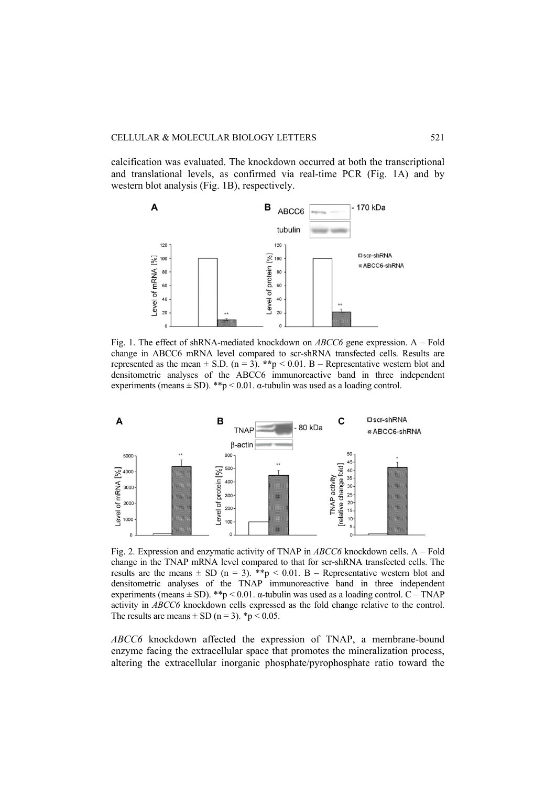calcification was evaluated. The knockdown occurred at both the transcriptional and translational levels, as confirmed via real-time PCR (Fig. 1A) and by western blot analysis (Fig. 1B), respectively.



Fig. 1. The effect of shRNA-mediated knockdown on *ABCC6* gene expression. A – Fold change in ABCC6 mRNA level compared to scr-shRNA transfected cells. Results are represented as the mean  $\pm$  S.D. (n = 3). \*\*p < 0.01. B – Representative western blot and densitometric analyses of the ABCC6 immunoreactive band in three independent experiments (means  $\pm$  SD). \*\*p < 0.01.  $\alpha$ -tubulin was used as a loading control.



Fig. 2. Expression and enzymatic activity of TNAP in *ABCC6* knockdown cells. A – Fold change in the TNAP mRNA level compared to that for scr-shRNA transfected cells. The results are the means  $\pm$  SD (n = 3). \*\*p < 0.01. B – Representative western blot and densitometric analyses of the TNAP immunoreactive band in three independent experiments (means  $\pm$  SD). \*\*p < 0.01.  $\alpha$ -tubulin was used as a loading control. C – TNAP activity in *ABCC6* knockdown cells expressed as the fold change relative to the control. The results are means  $\pm$  SD (n = 3). \*p < 0.05.

*ABCC6* knockdown affected the expression of TNAP, a membrane-bound enzyme facing the extracellular space that promotes the mineralization process, altering the extracellular inorganic phosphate/pyrophosphate ratio toward the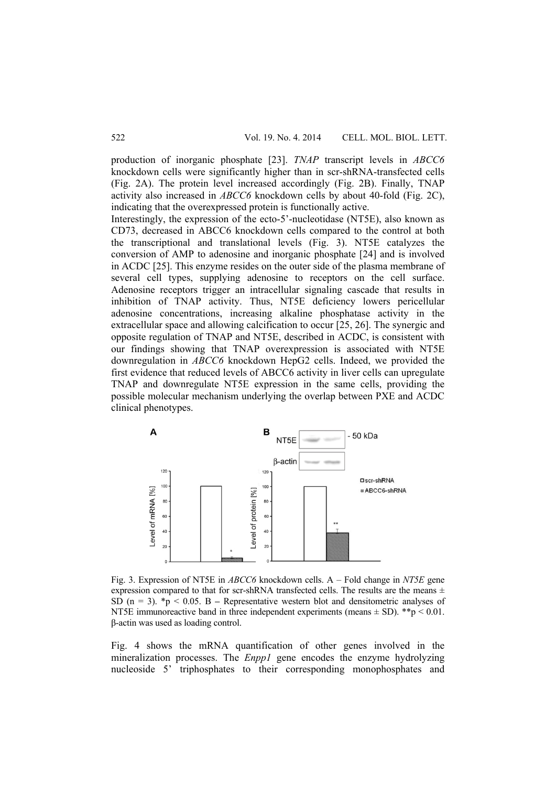production of inorganic phosphate [23]. *TNAP* transcript levels in *ABCC6*  knockdown cells were significantly higher than in scr-shRNA-transfected cells (Fig. 2A). The protein level increased accordingly (Fig. 2B). Finally, TNAP activity also increased in *ABCC6* knockdown cells by about 40-fold (Fig. 2C), indicating that the overexpressed protein is functionally active.

Interestingly, the expression of the ecto-5'-nucleotidase (NT5E), also known as CD73, decreased in ABCC6 knockdown cells compared to the control at both the transcriptional and translational levels (Fig. 3). NT5E catalyzes the conversion of AMP to adenosine and inorganic phosphate [24] and is involved in ACDC [25]. This enzyme resides on the outer side of the plasma membrane of several cell types, supplying adenosine to receptors on the cell surface. Adenosine receptors trigger an intracellular signaling cascade that results in inhibition of TNAP activity. Thus, NT5E deficiency lowers pericellular adenosine concentrations, increasing alkaline phosphatase activity in the extracellular space and allowing calcification to occur [25, 26]. The synergic and opposite regulation of TNAP and NT5E, described in ACDC, is consistent with our findings showing that TNAP overexpression is associated with NT5E downregulation in *ABCC6* knockdown HepG2 cells. Indeed, we provided the first evidence that reduced levels of ABCC6 activity in liver cells can upregulate TNAP and downregulate NT5E expression in the same cells, providing the possible molecular mechanism underlying the overlap between PXE and ACDC clinical phenotypes.



Fig. 3. Expression of NT5E in *ABCC6* knockdown cells. A – Fold change in *NT5E* gene expression compared to that for scr-shRNA transfected cells. The results are the means  $\pm$ SD  $(n = 3)$ .  $*_p$  < 0.05. B – Representative western blot and densitometric analyses of NT5E immunoreactive band in three independent experiments (means  $\pm$  SD). \*\*p < 0.01. β-actin was used as loading control.

Fig. 4 shows the mRNA quantification of other genes involved in the mineralization processes. The *Enpp1* gene encodes the enzyme hydrolyzing nucleoside 5' triphosphates to their corresponding monophosphates and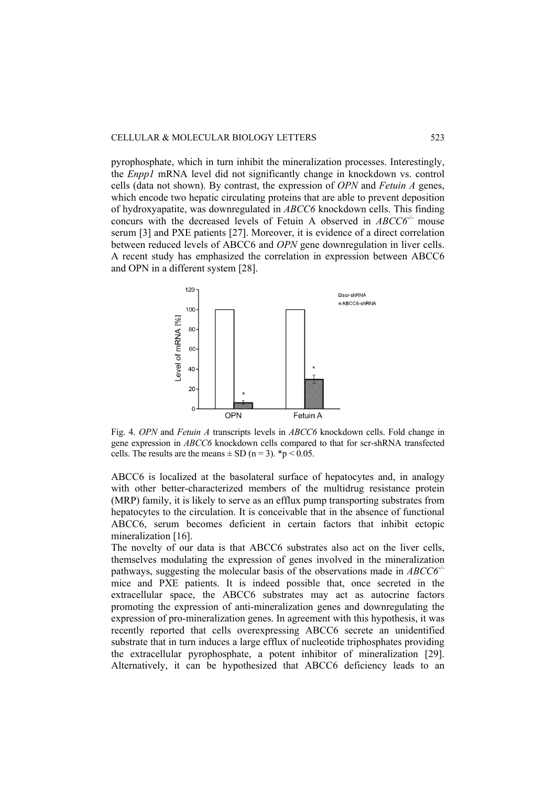pyrophosphate, which in turn inhibit the mineralization processes. Interestingly, the *Enpp1* mRNA level did not significantly change in knockdown vs. control cells (data not shown). By contrast, the expression of *OPN* and *Fetuin A* genes, which encode two hepatic circulating proteins that are able to prevent deposition of hydroxyapatite, was downregulated in *ABCC6* knockdown cells. This finding concurs with the decreased levels of Fetuin A observed in *ABCC6<sup>-1</sup>* mouse serum [3] and PXE patients [27]. Moreover, it is evidence of a direct correlation between reduced levels of ABCC6 and *OPN* gene downregulation in liver cells. A recent study has emphasized the correlation in expression between ABCC6 and OPN in a different system [28].



Fig. 4. *OPN* and *Fetuin A* transcripts levels in *ABCC6* knockdown cells. Fold change in gene expression in *ABCC6* knockdown cells compared to that for scr-shRNA transfected cells. The results are the means  $\pm$  SD (n = 3). \*p < 0.05.

ABCC6 is localized at the basolateral surface of hepatocytes and, in analogy with other better-characterized members of the multidrug resistance protein (MRP) family, it is likely to serve as an efflux pump transporting substrates from hepatocytes to the circulation. It is conceivable that in the absence of functional ABCC6, serum becomes deficient in certain factors that inhibit ectopic mineralization [16].

The novelty of our data is that ABCC6 substrates also act on the liver cells, themselves modulating the expression of genes involved in the mineralization pathways, suggesting the molecular basis of the observations made in *ABCC6*-/ mice and PXE patients. It is indeed possible that, once secreted in the extracellular space, the ABCC6 substrates may act as autocrine factors promoting the expression of anti-mineralization genes and downregulating the expression of pro-mineralization genes. In agreement with this hypothesis, it was recently reported that cells overexpressing ABCC6 secrete an unidentified substrate that in turn induces a large efflux of nucleotide triphosphates providing the extracellular pyrophosphate, a potent inhibitor of mineralization [29]. Alternatively, it can be hypothesized that ABCC6 deficiency leads to an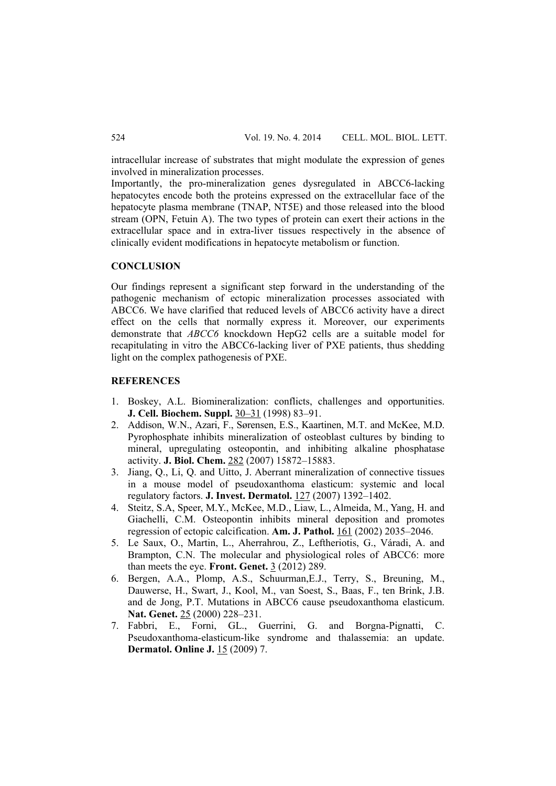intracellular increase of substrates that might modulate the expression of genes involved in mineralization processes.

Importantly, the pro-mineralization genes dysregulated in ABCC6-lacking hepatocytes encode both the proteins expressed on the extracellular face of the hepatocyte plasma membrane (TNAP, NT5E) and those released into the blood stream (OPN, Fetuin A). The two types of protein can exert their actions in the extracellular space and in extra-liver tissues respectively in the absence of clinically evident modifications in hepatocyte metabolism or function.

## **CONCLUSION**

Our findings represent a significant step forward in the understanding of the pathogenic mechanism of ectopic mineralization processes associated with ABCC6. We have clarified that reduced levels of ABCC6 activity have a direct effect on the cells that normally express it. Moreover, our experiments demonstrate that *ABCC6* knockdown HepG2 cells are a suitable model for recapitulating in vitro the ABCC6-lacking liver of PXE patients, thus shedding light on the complex pathogenesis of PXE.

## **REFERENCES**

- 1. Boskey, A.L. Biomineralization: conflicts, challenges and opportunities. **J. Cell. Biochem. Suppl.** 30–31 (1998) 83–91.
- 2. Addison, W.N., Azari, F., Sørensen, E.S., Kaartinen, M.T. and McKee, M.D. Pyrophosphate inhibits mineralization of osteoblast cultures by binding to mineral, upregulating osteopontin, and inhibiting alkaline phosphatase activity. **J. Biol. Chem.** 282 (2007) 15872–15883.
- 3. Jiang, Q., Li, Q. and Uitto, J. Aberrant mineralization of connective tissues in a mouse model of pseudoxanthoma elasticum: systemic and local regulatory factors. **J. Invest. Dermatol.** 127 (2007) 1392–1402.
- 4. Steitz, S.A, Speer, M.Y., McKee, M.D., Liaw, L., Almeida, M., Yang, H. and Giachelli, C.M. Osteopontin inhibits mineral deposition and promotes regression of ectopic calcification. **Am. J. Pathol.** 161 (2002) 2035–2046.
- 5. Le Saux, O., Martin, L., Aherrahrou, Z., Leftheriotis, G., Váradi, A. and Brampton, C.N. The molecular and physiological roles of ABCC6: more than meets the eye. **Front. Genet.** 3 (2012) 289.
- 6. Bergen, A.A., Plomp, A.S., Schuurman,E.J., Terry, S., Breuning, M., Dauwerse, H., Swart, J., Kool, M., van Soest, S., Baas, F., ten Brink, J.B. and de Jong, P.T. Mutations in ABCC6 cause pseudoxanthoma elasticum. **Nat. Genet.** 25 (2000) 228–231.
- 7. Fabbri, E., Forni, GL., Guerrini, G. and Borgna-Pignatti, C. Pseudoxanthoma-elasticum-like syndrome and thalassemia: an update. **Dermatol. Online J.** 15 (2009) 7.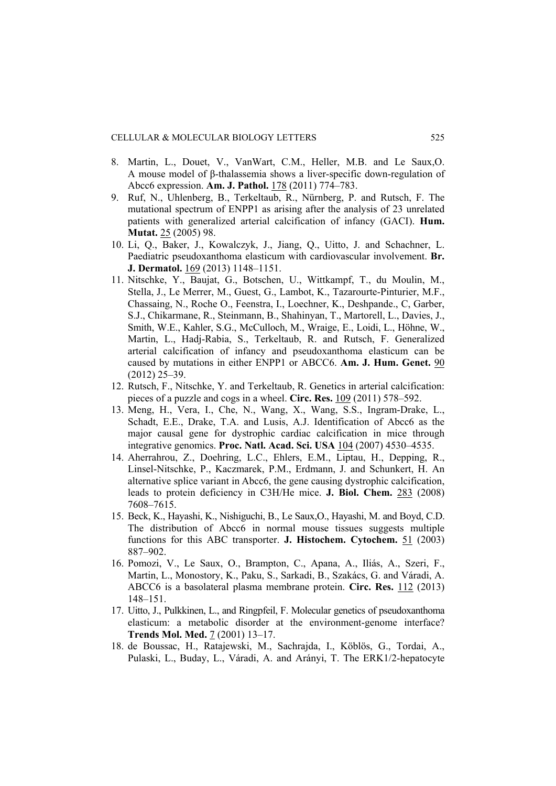- 8. Martin, L., Douet, V., VanWart, C.M., Heller, M.B. and Le Saux,O. A mouse model of β-thalassemia shows a liver-specific down-regulation of Abcc6 expression. **Am. J. Pathol.** 178 (2011) 774–783.
- 9. Ruf, N., Uhlenberg, B., Terkeltaub, R., Nürnberg, P. and Rutsch, F. The mutational spectrum of ENPP1 as arising after the analysis of 23 unrelated patients with generalized arterial calcification of infancy (GACI). **Hum. Mutat.** 25 (2005) 98.
- 10. Li, Q., Baker, J., Kowalczyk, J., Jiang, Q., Uitto, J. and Schachner, L. Paediatric pseudoxanthoma elasticum with cardiovascular involvement. **Br. J. Dermatol.** 169 (2013) 1148–1151.
- 11. Nitschke, Y., Baujat, G., Botschen, U., Wittkampf, T., du Moulin, M., Stella, J., Le Merrer, M., Guest, G., Lambot, K., Tazarourte-Pinturier, M.F., Chassaing, N., Roche O., Feenstra, I., Loechner, K., Deshpande., C, Garber, S.J., Chikarmane, R., Steinmann, B., Shahinyan, T., Martorell, L., Davies, J., Smith, W.E., Kahler, S.G., McCulloch, M., Wraige, E., Loidi, L., Höhne, W., Martin, L., Hadj-Rabia, S., Terkeltaub, R. and Rutsch, F. Generalized arterial calcification of infancy and pseudoxanthoma elasticum can be caused by mutations in either ENPP1 or ABCC6. **Am. J. Hum. Genet.** 90 (2012) 25–39.
- 12. Rutsch, F., Nitschke, Y. and Terkeltaub, R. Genetics in arterial calcification: pieces of a puzzle and cogs in a wheel. **Circ. Res.** 109 (2011) 578–592.
- 13. Meng, H., Vera, I., Che, N., Wang, X., Wang, S.S., Ingram-Drake, L., Schadt, E.E., Drake, T.A. and Lusis, A.J. Identification of Abcc6 as the major causal gene for dystrophic cardiac calcification in mice through integrative genomics. **Proc. Natl. Acad. Sci. USA** 104 (2007) 4530–4535.
- 14. Aherrahrou, Z., Doehring, L.C., Ehlers, E.M., Liptau, H., Depping, R., Linsel-Nitschke, P., Kaczmarek, P.M., Erdmann, J. and Schunkert, H. An alternative splice variant in Abcc6, the gene causing dystrophic calcification, leads to protein deficiency in C3H/He mice. **J. Biol. Chem.** 283 (2008) 7608–7615.
- 15. Beck, K., Hayashi, K., Nishiguchi, B., Le Saux,O., Hayashi, M. and Boyd, C.D. The distribution of Abcc6 in normal mouse tissues suggests multiple functions for this ABC transporter. **J. Histochem. Cytochem.** 51 (2003) 887–902.
- 16. Pomozi, V., Le Saux, O., Brampton, C., Apana, A., Iliás, A., Szeri, F., Martin, L., Monostory, K., Paku, S., Sarkadi, B., Szakács, G. and Váradi, A. ABCC6 is a basolateral plasma membrane protein. **Circ. Res.** 112 (2013) 148–151.
- 17. Uitto, J., Pulkkinen, L., and Ringpfeil, F. Molecular genetics of pseudoxanthoma elasticum: a metabolic disorder at the environment-genome interface? **Trends Mol. Med.** 7 (2001) 13–17.
- 18. de Boussac, H., Ratajewski, M., Sachrajda, I., Köblös, G., Tordai, A., Pulaski, L., Buday, L., Váradi, A. and Arányi, T. The ERK1/2-hepatocyte